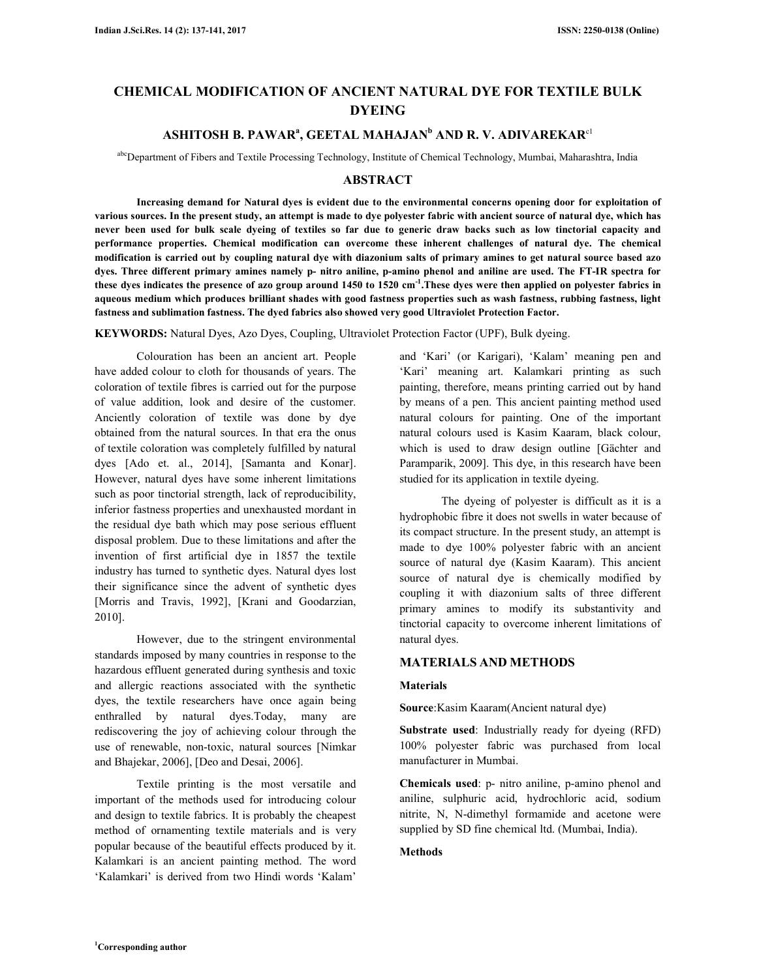# **CHEMICAL MODIFICATION OF ANCIENT NATURAL DYE FOR TEXTILE BULK DYEING**

# **ASHITOSH B. PAWAR<sup>a</sup> , GEETAL MAHAJAN<sup>b</sup> AND R. V. ADIVAREKAR**c1

abcDepartment of Fibers and Textile Processing Technology, Institute of Chemical Technology, Mumbai, Maharashtra, India

# **ABSTRACT**

 **Increasing demand for Natural dyes is evident due to the environmental concerns opening door for exploitation of various sources. In the present study, an attempt is made to dye polyester fabric with ancient source of natural dye, which has never been used for bulk scale dyeing of textiles so far due to generic draw backs such as low tinctorial capacity and performance properties. Chemical modification can overcome these inherent challenges of natural dye. The chemical modification is carried out by coupling natural dye with diazonium salts of primary amines to get natural source based azo dyes. Three different primary amines namely p- nitro aniline, p-amino phenol and aniline are used. The FT-IR spectra for these dyes indicates the presence of azo group around 1450 to 1520 cm-1.These dyes were then applied on polyester fabrics in aqueous medium which produces brilliant shades with good fastness properties such as wash fastness, rubbing fastness, light fastness and sublimation fastness. The dyed fabrics also showed very good Ultraviolet Protection Factor.** 

**KEYWORDS:** Natural Dyes, Azo Dyes, Coupling, Ultraviolet Protection Factor (UPF), Bulk dyeing.

 Colouration has been an ancient art. People have added colour to cloth for thousands of years. The coloration of textile fibres is carried out for the purpose of value addition, look and desire of the customer. Anciently coloration of textile was done by dye obtained from the natural sources. In that era the onus of textile coloration was completely fulfilled by natural dyes [Ado et. al., 2014], [Samanta and Konar]. However, natural dyes have some inherent limitations such as poor tinctorial strength, lack of reproducibility, inferior fastness properties and unexhausted mordant in the residual dye bath which may pose serious effluent disposal problem. Due to these limitations and after the invention of first artificial dye in 1857 the textile industry has turned to synthetic dyes. Natural dyes lost their significance since the advent of synthetic dyes [Morris and Travis, 1992], [Krani and Goodarzian, 2010].

 However, due to the stringent environmental standards imposed by many countries in response to the hazardous effluent generated during synthesis and toxic and allergic reactions associated with the synthetic dyes, the textile researchers have once again being enthralled by natural dyes.Today, many are rediscovering the joy of achieving colour through the use of renewable, non-toxic, natural sources [Nimkar and Bhajekar, 2006], [Deo and Desai, 2006].

 Textile printing is the most versatile and important of the methods used for introducing colour and design to textile fabrics. It is probably the cheapest method of ornamenting textile materials and is very popular because of the beautiful effects produced by it. Kalamkari is an ancient painting method. The word 'Kalamkari' is derived from two Hindi words 'Kalam'

and 'Kari' (or Karigari), 'Kalam' meaning pen and 'Kari' meaning art. Kalamkari printing as such painting, therefore, means printing carried out by hand by means of a pen. This ancient painting method used natural colours for painting. One of the important natural colours used is Kasim Kaaram, black colour, which is used to draw design outline [Gächter and Paramparik, 2009]. This dye, in this research have been studied for its application in textile dyeing.

 The dyeing of polyester is difficult as it is a hydrophobic fibre it does not swells in water because of its compact structure. In the present study, an attempt is made to dye 100% polyester fabric with an ancient source of natural dye (Kasim Kaaram). This ancient source of natural dye is chemically modified by coupling it with diazonium salts of three different primary amines to modify its substantivity and tinctorial capacity to overcome inherent limitations of natural dyes.

# **MATERIALS AND METHODS**

## **Materials**

**Source**:Kasim Kaaram(Ancient natural dye)

**Substrate used**: Industrially ready for dyeing (RFD) 100% polyester fabric was purchased from local manufacturer in Mumbai.

**Chemicals used**: p- nitro aniline, p-amino phenol and aniline, sulphuric acid, hydrochloric acid, sodium nitrite, N, N-dimethyl formamide and acetone were supplied by SD fine chemical ltd. (Mumbai, India).

## **Methods**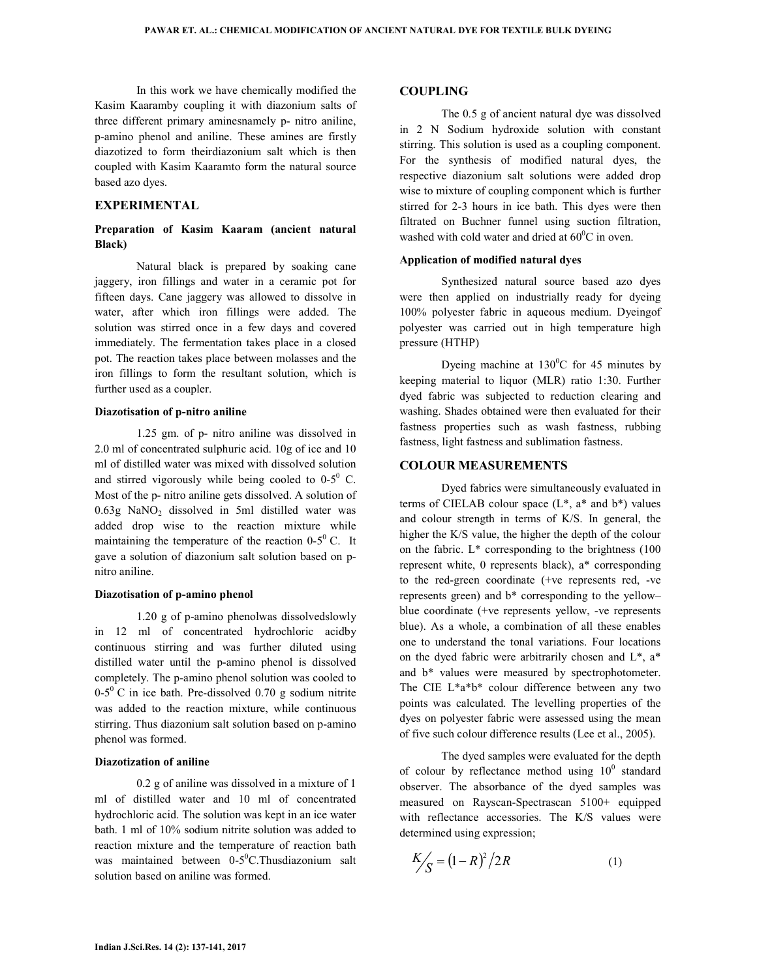In this work we have chemically modified the Kasim Kaaramby coupling it with diazonium salts of three different primary aminesnamely p- nitro aniline, p-amino phenol and aniline. These amines are firstly diazotized to form theirdiazonium salt which is then coupled with Kasim Kaaramto form the natural source based azo dyes.

# **EXPERIMENTAL**

# **Preparation of Kasim Kaaram (ancient natural Black)**

 Natural black is prepared by soaking cane jaggery, iron fillings and water in a ceramic pot for fifteen days. Cane jaggery was allowed to dissolve in water, after which iron fillings were added. The solution was stirred once in a few days and covered immediately. The fermentation takes place in a closed pot. The reaction takes place between molasses and the iron fillings to form the resultant solution, which is further used as a coupler.

### **Diazotisation of p-nitro aniline**

 1.25 gm. of p- nitro aniline was dissolved in 2.0 ml of concentrated sulphuric acid. 10g of ice and 10 ml of distilled water was mixed with dissolved solution and stirred vigorously while being cooled to  $0-5^0$  C. Most of the p- nitro aniline gets dissolved. A solution of 0.63g NaNO2 dissolved in 5ml distilled water was added drop wise to the reaction mixture while maintaining the temperature of the reaction  $0-5^\circ$  C. It gave a solution of diazonium salt solution based on pnitro aniline.

## **Diazotisation of p-amino phenol**

 1.20 g of p-amino phenolwas dissolvedslowly in 12 ml of concentrated hydrochloric acidby continuous stirring and was further diluted using distilled water until the p-amino phenol is dissolved completely. The p-amino phenol solution was cooled to  $0-5^{\circ}$  C in ice bath. Pre-dissolved 0.70 g sodium nitrite was added to the reaction mixture, while continuous stirring. Thus diazonium salt solution based on p-amino phenol was formed.

# **Diazotization of aniline**

 0.2 g of aniline was dissolved in a mixture of 1 ml of distilled water and 10 ml of concentrated hydrochloric acid. The solution was kept in an ice water bath. 1 ml of 10% sodium nitrite solution was added to reaction mixture and the temperature of reaction bath was maintained between  $0-5$ <sup>o</sup>C. Thusdiazonium salt solution based on aniline was formed.

## **COUPLING**

 The 0.5 g of ancient natural dye was dissolved in 2 N Sodium hydroxide solution with constant stirring. This solution is used as a coupling component. For the synthesis of modified natural dyes, the respective diazonium salt solutions were added drop wise to mixture of coupling component which is further stirred for 2-3 hours in ice bath. This dyes were then filtrated on Buchner funnel using suction filtration, washed with cold water and dried at  $60^{\circ}$ C in oven.

# **Application of modified natural dyes**

 Synthesized natural source based azo dyes were then applied on industrially ready for dyeing 100% polyester fabric in aqueous medium. Dyeingof polyester was carried out in high temperature high pressure (HTHP)

Dyeing machine at  $130^{\circ}$ C for 45 minutes by keeping material to liquor (MLR) ratio 1:30. Further dyed fabric was subjected to reduction clearing and washing. Shades obtained were then evaluated for their fastness properties such as wash fastness, rubbing fastness, light fastness and sublimation fastness.

#### **COLOUR MEASUREMENTS**

 Dyed fabrics were simultaneously evaluated in terms of CIELAB colour space  $(L^*, a^*$  and  $b^*)$  values and colour strength in terms of K/S. In general, the higher the K/S value, the higher the depth of the colour on the fabric.  $L^*$  corresponding to the brightness (100) represent white, 0 represents black), a\* corresponding to the red-green coordinate (+ve represents red, -ve represents green) and b\* corresponding to the yellow– blue coordinate (+ve represents yellow, -ve represents blue). As a whole, a combination of all these enables one to understand the tonal variations. Four locations on the dyed fabric were arbitrarily chosen and L\*, a\* and b\* values were measured by spectrophotometer. The CIE L\*a\*b\* colour difference between any two points was calculated. The levelling properties of the dyes on polyester fabric were assessed using the mean of five such colour difference results (Lee et al., 2005).

 The dyed samples were evaluated for the depth of colour by reflectance method using  $10^0$  standard observer. The absorbance of the dyed samples was measured on Rayscan-Spectrascan 5100+ equipped with reflectance accessories. The K/S values were determined using expression;

$$
\frac{K}{S} = (1 - R)^2 / 2R
$$
 (1)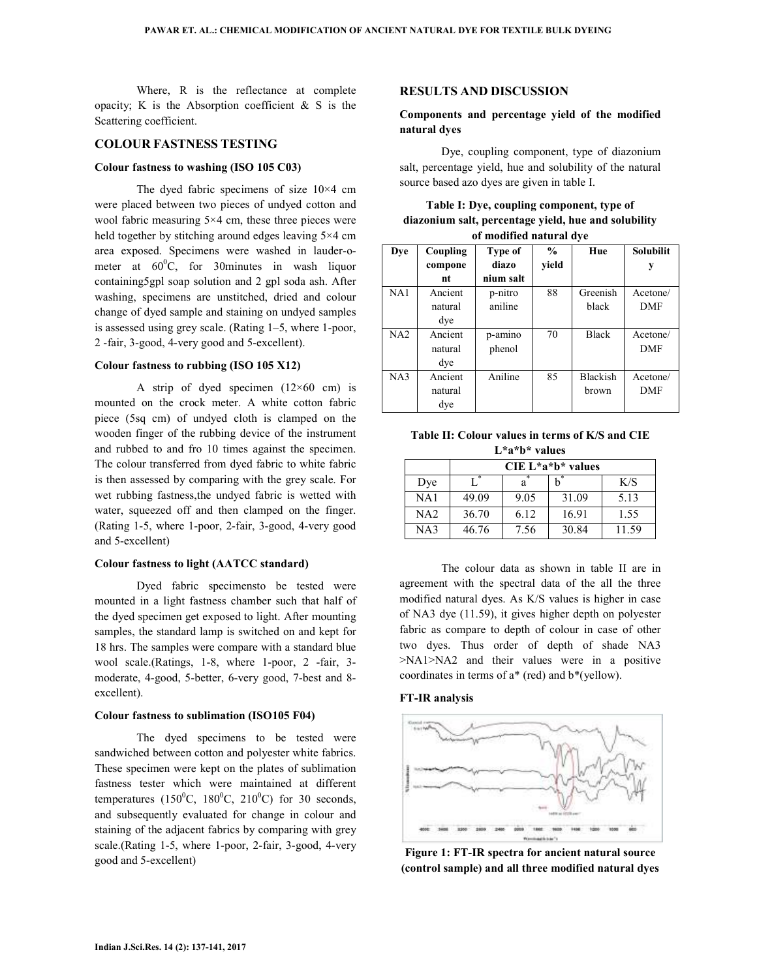Where, R is the reflectance at complete opacity; K is the Absorption coefficient  $\&$  S is the Scattering coefficient.

# **COLOUR FASTNESS TESTING**

## **Colour fastness to washing (ISO 105 C03)**

 The dyed fabric specimens of size 10×4 cm were placed between two pieces of undyed cotton and wool fabric measuring 5×4 cm, these three pieces were held together by stitching around edges leaving 5×4 cm area exposed. Specimens were washed in lauder-ometer at  $60^{\circ}$ C, for 30minutes in wash liquor containing5gpl soap solution and 2 gpl soda ash. After washing, specimens are unstitched, dried and colour change of dyed sample and staining on undyed samples is assessed using grey scale. (Rating 1–5, where 1-poor, 2 -fair, 3-good, 4-very good and 5-excellent).

# **Colour fastness to rubbing (ISO 105 X12)**

A strip of dyed specimen  $(12\times60$  cm) is mounted on the crock meter. A white cotton fabric piece (5sq cm) of undyed cloth is clamped on the wooden finger of the rubbing device of the instrument and rubbed to and fro 10 times against the specimen. The colour transferred from dyed fabric to white fabric is then assessed by comparing with the grey scale. For wet rubbing fastness,the undyed fabric is wetted with water, squeezed off and then clamped on the finger. (Rating 1-5, where 1-poor, 2-fair, 3-good, 4-very good and 5-excellent)

## **Colour fastness to light (AATCC standard)**

 Dyed fabric specimensto be tested were mounted in a light fastness chamber such that half of the dyed specimen get exposed to light. After mounting samples, the standard lamp is switched on and kept for 18 hrs. The samples were compare with a standard blue wool scale.(Ratings, 1-8, where 1-poor, 2 -fair, 3 moderate, 4-good, 5-better, 6-very good, 7-best and 8 excellent).

#### **Colour fastness to sublimation (ISO105 F04)**

 The dyed specimens to be tested were sandwiched between cotton and polyester white fabrics. These specimen were kept on the plates of sublimation fastness tester which were maintained at different temperatures  $(150^{\circ}C, 180^{\circ}C, 210^{\circ}C)$  for 30 seconds, and subsequently evaluated for change in colour and staining of the adjacent fabrics by comparing with grey scale.(Rating 1-5, where 1-poor, 2-fair, 3-good, 4-very good and 5-excellent)

#### **RESULTS AND DISCUSSION**

# **Components and percentage yield of the modified natural dyes**

 Dye, coupling component, type of diazonium salt, percentage yield, hue and solubility of the natural source based azo dyes are given in table I.

| Table I: Dye, coupling component, type of            |
|------------------------------------------------------|
| diazonium salt, percentage yield, hue and solubility |
| of modified natural dye                              |

| Dye | Coupling | Type of   | $\frac{0}{0}$ | Hue             | <b>Solubilit</b> |
|-----|----------|-----------|---------------|-----------------|------------------|
|     | compone  | diazo     | yield         |                 | у                |
|     | nt       | nium salt |               |                 |                  |
| NA1 | Ancient  | p-nitro   | 88            | Greenish        | Acetone/         |
|     | natural  | aniline   |               | black           | <b>DMF</b>       |
|     | dye      |           |               |                 |                  |
| NA2 | Ancient  | p-amino   | 70            | <b>Black</b>    | Acetone/         |
|     | natural  | phenol    |               |                 | DMF              |
|     | dye      |           |               |                 |                  |
| NA3 | Ancient  | Aniline   | 85            | <b>Blackish</b> | Acetone/         |
|     | natural  |           |               | brown           | <b>DMF</b>       |
|     | dye      |           |               |                 |                  |

**Table II: Colour values in terms of K/S and CIE L\*a\*b\* values** 

|                 | $CIE L^*a^*b^*$ values |      |       |       |
|-----------------|------------------------|------|-------|-------|
| Dye             |                        | а    | h,    | K/S   |
| NA1             | 49.09                  | 9.05 | 31.09 | 5.13  |
| NA <sub>2</sub> | 36.70                  | 6.12 | 16.91 | 1.55  |
| NA3             | 46.76                  | 7.56 | 30.84 | 11.59 |

 The colour data as shown in table II are in agreement with the spectral data of the all the three modified natural dyes. As K/S values is higher in case of NA3 dye (11.59), it gives higher depth on polyester fabric as compare to depth of colour in case of other two dyes. Thus order of depth of shade NA3 >NA1>NA2 and their values were in a positive coordinates in terms of a\* (red) and b\*(yellow).

#### **FT-IR analysis**



**Figure 1: FT-IR spectra for ancient natural source (control sample) and all three modified natural dyes**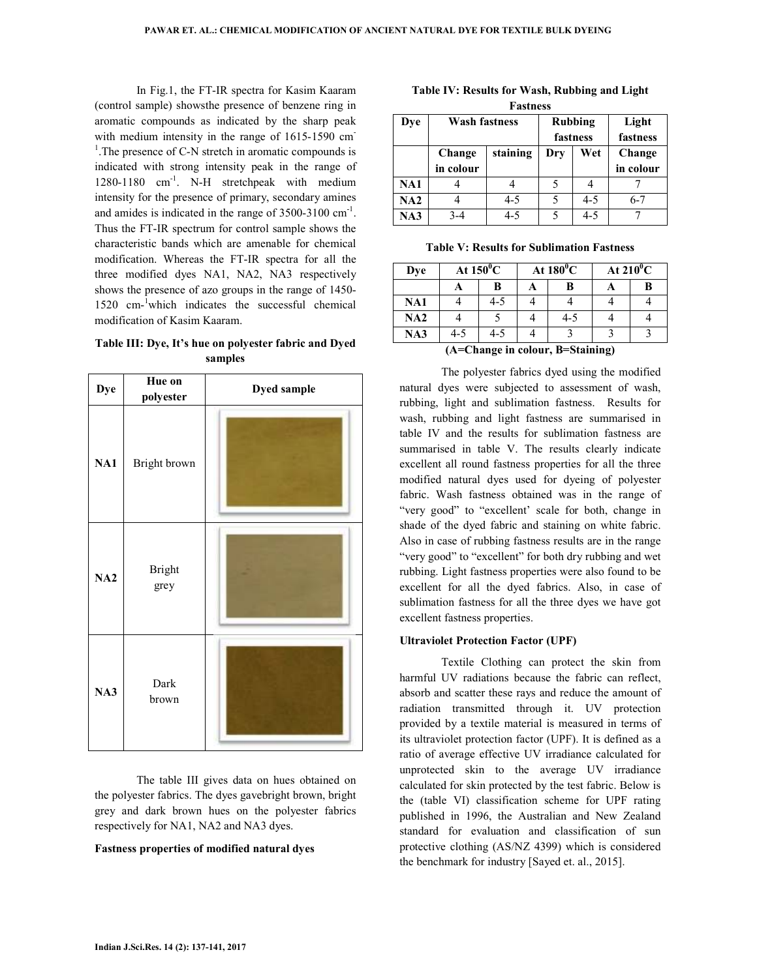In Fig.1, the FT-IR spectra for Kasim Kaaram (control sample) showsthe presence of benzene ring in aromatic compounds as indicated by the sharp peak with medium intensity in the range of 1615-1590 cm <sup>1</sup>. The presence of C-N stretch in aromatic compounds is indicated with strong intensity peak in the range of 1280-1180 cm<sup>-1</sup>. N-H stretchpeak with medium intensity for the presence of primary, secondary amines and amides is indicated in the range of  $3500-3100$  cm<sup>-1</sup>. Thus the FT-IR spectrum for control sample shows the characteristic bands which are amenable for chemical modification. Whereas the FT-IR spectra for all the three modified dyes NA1, NA2, NA3 respectively shows the presence of azo groups in the range of 1450- 1520 cm-<sup>1</sup>which indicates the successful chemical modification of Kasim Kaaram.

# **Table III: Dye, It's hue on polyester fabric and Dyed samples**

| <b>Dye</b> | Hue on<br>polyester   | <b>Dyed sample</b> |
|------------|-----------------------|--------------------|
| NA1        | Bright brown          |                    |
| NA2        | <b>Bright</b><br>grey |                    |
| NA3        | Dark<br>brown         |                    |

 The table III gives data on hues obtained on the polyester fabrics. The dyes gavebright brown, bright grey and dark brown hues on the polyester fabrics respectively for NA1, NA2 and NA3 dyes.

#### **Fastness properties of modified natural dyes**

**Table IV: Results for Wash, Rubbing and Light Fastness** 

| Dye | <b>Wash fastness</b> |          | <b>Rubbing</b><br>fastness |         | Light<br>fastness   |
|-----|----------------------|----------|----------------------------|---------|---------------------|
|     | Change<br>in colour  | staining | Dry                        | Wet     | Change<br>in colour |
| NA1 |                      |          |                            |         |                     |
| NA2 |                      | $4 - 5$  |                            | $4 - 5$ | $6 - 7$             |
| NA3 | $3-4$                | 4-5      |                            | $4 - 5$ |                     |

**Table V: Results for Sublimation Fastness** 

| Dye |               | At $150^0$ C |   | At $180^{\circ}$ C                   | At $210^0$ C |   |
|-----|---------------|--------------|---|--------------------------------------|--------------|---|
|     |               | В            | A | B                                    |              | В |
| NA1 |               | 4-5          |   |                                      |              |   |
| NA2 |               |              |   | $4 - 5$                              |              |   |
| NA3 | $4 - 5$       | 4-5          |   |                                      |              |   |
|     | $\sim$ $\sim$ |              |   | $\mathbf{r}$ $\alpha$ , $\mathbf{r}$ | $\lambda$    |   |

**(A=Change in colour, B=Staining)** 

 The polyester fabrics dyed using the modified natural dyes were subjected to assessment of wash, rubbing, light and sublimation fastness. Results for wash, rubbing and light fastness are summarised in table IV and the results for sublimation fastness are summarised in table V. The results clearly indicate excellent all round fastness properties for all the three modified natural dyes used for dyeing of polyester fabric. Wash fastness obtained was in the range of "very good" to "excellent' scale for both, change in shade of the dyed fabric and staining on white fabric. Also in case of rubbing fastness results are in the range "very good" to "excellent" for both dry rubbing and wet rubbing. Light fastness properties were also found to be excellent for all the dyed fabrics. Also, in case of sublimation fastness for all the three dyes we have got excellent fastness properties.

#### **Ultraviolet Protection Factor (UPF)**

 Textile Clothing can protect the skin from harmful UV radiations because the fabric can reflect, absorb and scatter these rays and reduce the amount of radiation transmitted through it. UV protection provided by a textile material is measured in terms of its ultraviolet protection factor (UPF). It is defined as a ratio of average effective UV irradiance calculated for unprotected skin to the average UV irradiance calculated for skin protected by the test fabric. Below is the (table VI) classification scheme for UPF rating published in 1996, the Australian and New Zealand standard for evaluation and classification of sun protective clothing (AS/NZ 4399) which is considered the benchmark for industry [Sayed et. al., 2015].